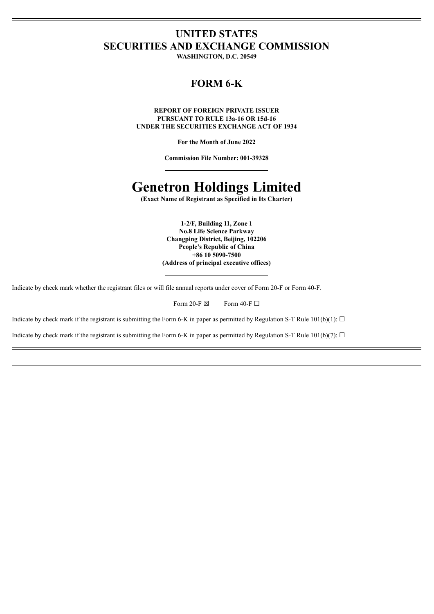# **UNITED STATES SECURITIES AND EXCHANGE COMMISSION**

**WASHINGTON, D.C. 20549**

# **FORM 6-K**

**REPORT OF FOREIGN PRIVATE ISSUER PURSUANT TO RULE 13a-16 OR 15d-16 UNDER THE SECURITIES EXCHANGE ACT OF 1934**

**For the Month of June 2022**

**Commission File Number: 001-39328**

# **Genetron Holdings Limited**

**(Exact Name of Registrant as Specified in Its Charter)**

**1-2/F, Building 11, Zone 1 No.8 Life Science Parkway Changping District, Beijing, 102206 People's Republic of China +86 10 5090-7500 (Address of principal executive offices)**

Indicate by check mark whether the registrant files or will file annual reports under cover of Form 20-F or Form 40-F.

Form 20-F  $\boxtimes$  Form 40-F  $\Box$ 

Indicate by check mark if the registrant is submitting the Form 6-K in paper as permitted by Regulation S-T Rule 101(b)(1):  $\Box$ 

Indicate by check mark if the registrant is submitting the Form 6-K in paper as permitted by Regulation S-T Rule 101(b)(7):  $\Box$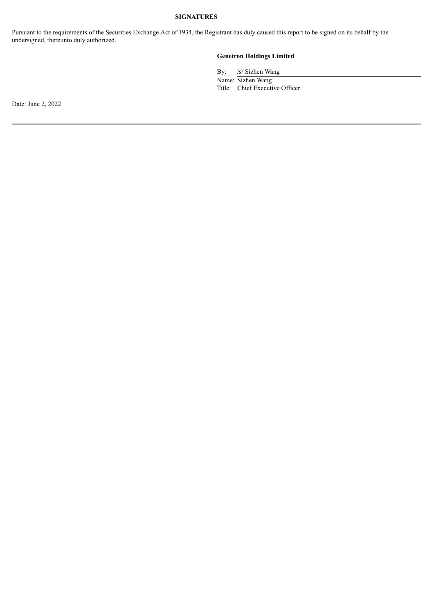### **SIGNATURES**

Pursuant to the requirements of the Securities Exchange Act of 1934, the Registrant has duly caused this report to be signed on its behalf by the undersigned, thereunto duly authorized.

### **Genetron Holdings Limited**

By: /s/ Sizhen Wang

Name: Sizhen Wang Title: Chief Executive Officer

Date: June 2, 2022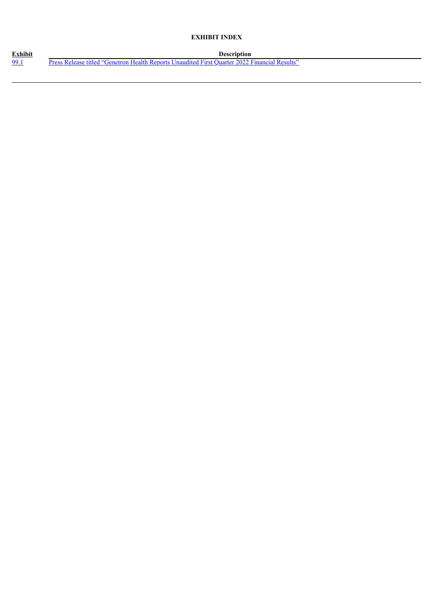### **EXHIBIT INDEX**

| <b>Exhibit</b> | <b>Description</b>                                                                            |
|----------------|-----------------------------------------------------------------------------------------------|
| 99.1           | Press Release titled "Genetron Health Reports Unaudited First Quarter 2022 Financial Results" |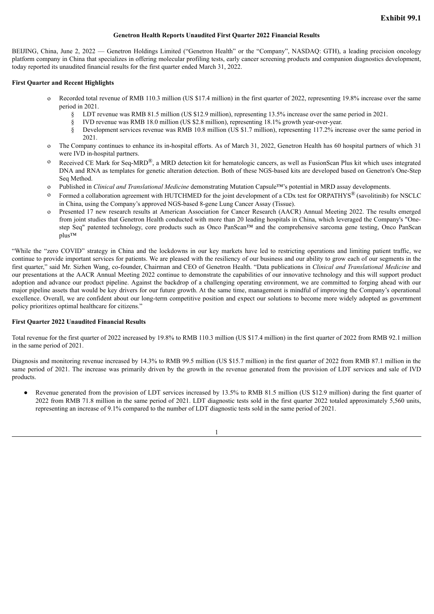#### **Genetron Health Reports Unaudited First Quarter 2022 Financial Results**

<span id="page-3-0"></span>BEIJING, China, June 2, 2022 — Genetron Holdings Limited ("Genetron Health" or the "Company", NASDAQ: GTH), a leading precision oncology platform company in China that specializes in offering molecular profiling tests, early cancer screening products and companion diagnostics development, today reported its unaudited financial results for the first quarter ended March 31, 2022.

#### **First Quarter and Recent Highlights**

- o Recorded total revenue of RMB 110.3 million (US \$17.4 million) in the first quarter of 2022, representing 19.8% increase over the same period in 2021.
	- § LDT revenue was RMB 81.5 million (US \$12.9 million), representing 13.5% increase over the same period in 2021.
	- § IVD revenue was RMB 18.0 million (US \$2.8 million), representing 18.1% growth year-over-year.
	- § Development services revenue was RMB 10.8 million (US \$1.7 million), representing 117.2% increase over the same period in 2021.
- o The Company continues to enhance its in-hospital efforts. As of March 31, 2022, Genetron Health has 60 hospital partners of which 31 were IVD in-hospital partners.
- <sup>0</sup> Received CE Mark for Seq-MRD<sup>®</sup>, a MRD detection kit for hematologic cancers, as well as FusionScan Plus kit which uses integrated DNA and RNA as templates for genetic alteration detection. Both of these NGS-based kits are developed based on Genetron's One-Step Seq Method.
- o Published in *Clinical and Translational Medicine* demonstrating Mutation Capsule™'s potential in MRD assay developments.
- <sup>o</sup> Formed a collaboration agreement with HUTCHMED for the joint development of a CDx test for ORPATHYS<sup>®</sup> (savolitinib) for NSCLC in China, using the Company's approved NGS-based 8-gene Lung Cancer Assay (Tissue).
- o Presented 17 new research results at American Association for Cancer Research (AACR) Annual Meeting 2022. The results emerged from joint studies that Genetron Health conducted with more than 20 leading hospitals in China, which leveraged the Company's "Onestep Seq" patented technology, core products such as Onco PanScan™ and the comprehensive sarcoma gene testing, Onco PanScan plus™

"While the "zero COVID" strategy in China and the lockdowns in our key markets have led to restricting operations and limiting patient traffic, we continue to provide important services for patients. We are pleased with the resiliency of our business and our ability to grow each of our segments in the first quarter," said Mr. Sizhen Wang, co-founder, Chairman and CEO of Genetron Health. "Data publications in *Clinical and Translational Medicine* and our presentations at the AACR Annual Meeting 2022 continue to demonstrate the capabilities of our innovative technology and this will support product adoption and advance our product pipeline. Against the backdrop of a challenging operating environment, we are committed to forging ahead with our major pipeline assets that would be key drivers for our future growth. At the same time, management is mindful of improving the Company's operational excellence. Overall, we are confident about our long-term competitive position and expect our solutions to become more widely adopted as government policy prioritizes optimal healthcare for citizens."

#### **First Quarter 2022 Unaudited Financial Results**

Total revenue for the first quarter of 2022 increased by 19.8% to RMB 110.3 million (US \$17.4 million) in the first quarter of 2022 from RMB 92.1 million in the same period of 2021.

Diagnosis and monitoring revenue increased by 14.3% to RMB 99.5 million (US \$15.7 million) in the first quarter of 2022 from RMB 87.1 million in the same period of 2021. The increase was primarily driven by the growth in the revenue generated from the provision of LDT services and sale of IVD products.

Revenue generated from the provision of LDT services increased by 13.5% to RMB 81.5 million (US \$12.9 million) during the first quarter of 2022 from RMB 71.8 million in the same period of 2021. LDT diagnostic tests sold in the first quarter 2022 totaled approximately 5,560 units, representing an increase of 9.1% compared to the number of LDT diagnostic tests sold in the same period of 2021.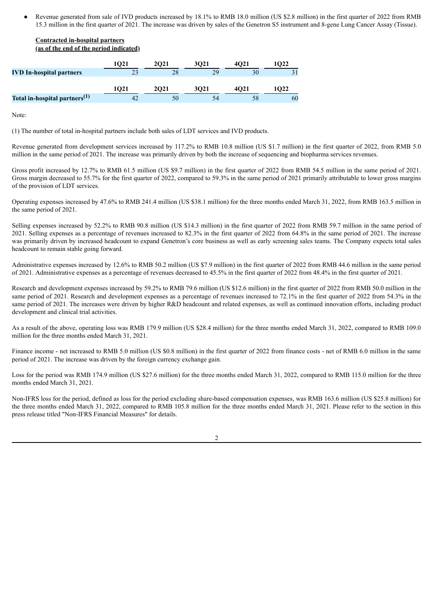Revenue generated from sale of IVD products increased by 18.1% to RMB 18.0 million (US \$2.8 million) in the first quarter of 2022 from RMB 15.3 million in the first quarter of 2021. The increase was driven by sales of the Genetron S5 instrument and 8-gene Lung Cancer Assay (Tissue).

| <b>Contracted in-hospital partners</b><br>(as of the end of the period indicated) |      |      |      |      |      |
|-----------------------------------------------------------------------------------|------|------|------|------|------|
|                                                                                   | 1021 | 2021 | 3021 | 4021 | 1022 |
| <b>IVD In-hospital partners</b>                                                   |      | 28   | 29   | 30   |      |
|                                                                                   | 1021 | 2021 | 3021 | 4021 | 1022 |
| Total in-hospital partners <sup>(1)</sup>                                         |      | 50   |      | 58   | 60   |

Note:

(1) The number of total in-hospital partners include both sales of LDT services and IVD products.

Revenue generated from development services increased by 117.2% to RMB 10.8 million (US \$1.7 million) in the first quarter of 2022, from RMB 5.0 million in the same period of 2021. The increase was primarily driven by both the increase of sequencing and biopharma services revenues.

Gross profit increased by 12.7% to RMB 61.5 million (US \$9.7 million) in the first quarter of 2022 from RMB 54.5 million in the same period of 2021. Gross margin decreased to 55.7% for the first quarter of 2022, compared to 59.3% in the same period of 2021 primarily attributable to lower gross margins of the provision of LDT services.

Operating expenses increased by 47.6% to RMB 241.4 million (US \$38.1 million) for the three months ended March 31, 2022, from RMB 163.5 million in the same period of 2021.

Selling expenses increased by 52.2% to RMB 90.8 million (US \$14.3 million) in the first quarter of 2022 from RMB 59.7 million in the same period of 2021. Selling expenses as a percentage of revenues increased to 82.3% in the first quarter of 2022 from 64.8% in the same period of 2021. The increase was primarily driven by increased headcount to expand Genetron's core business as well as early screening sales teams. The Company expects total sales headcount to remain stable going forward.

Administrative expenses increased by 12.6% to RMB 50.2 million (US \$7.9 million) in the first quarter of 2022 from RMB 44.6 million in the same period of 2021. Administrative expenses as a percentage of revenues decreased to 45.5% in the first quarter of 2022 from 48.4% in the first quarter of 2021.

Research and development expenses increased by 59.2% to RMB 79.6 million (US \$12.6 million) in the first quarter of 2022 from RMB 50.0 million in the same period of 2021. Research and development expenses as a percentage of revenues increased to 72.1% in the first quarter of 2022 from 54.3% in the same period of 2021. The increases were driven by higher R&D headcount and related expenses, as well as continued innovation efforts, including product development and clinical trial activities.

As a result of the above, operating loss was RMB 179.9 million (US \$28.4 million) for the three months ended March 31, 2022, compared to RMB 109.0 million for the three months ended March 31, 2021.

Finance income - net increased to RMB 5.0 million (US \$0.8 million) in the first quarter of 2022 from finance costs - net of RMB 6.0 million in the same period of 2021. The increase was driven by the foreign currency exchange gain.

Loss for the period was RMB 174.9 million (US \$27.6 million) for the three months ended March 31, 2022, compared to RMB 115.0 million for the three months ended March 31, 2021.

Non-IFRS loss for the period, defined as loss for the period excluding share-based compensation expenses, was RMB 163.6 million (US \$25.8 million) for the three months ended March 31, 2022, compared to RMB 105.8 million for the three months ended March 31, 2021. Please refer to the section in this press release titled "Non-IFRS Financial Measures" for details.

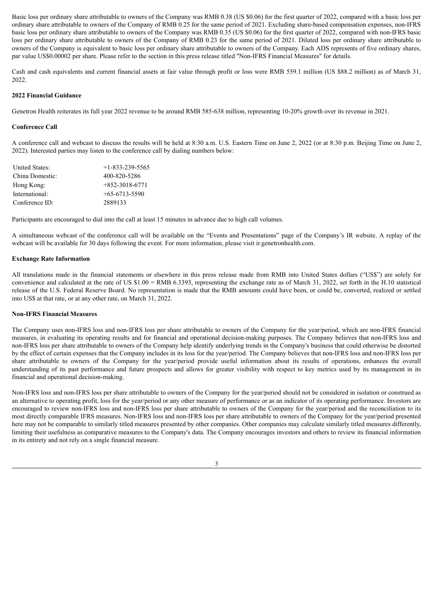Basic loss per ordinary share attributable to owners of the Company was RMB 0.38 (US \$0.06) for the first quarter of 2022, compared with a basic loss per ordinary share attributable to owners of the Company of RMB 0.25 for the same period of 2021. Excluding share-based compensation expenses, non-IFRS basic loss per ordinary share attributable to owners of the Company was RMB 0.35 (US \$0.06) for the first quarter of 2022, compared with non-IFRS basic loss per ordinary share attributable to owners of the Company of RMB 0.23 for the same period of 2021. Diluted loss per ordinary share attributable to owners of the Company is equivalent to basic loss per ordinary share attributable to owners of the Company. Each ADS represents of five ordinary shares, par value US\$0.00002 per share. Please refer to the section in this press release titled "Non-IFRS Financial Measures" for details.

Cash and cash equivalents and current financial assets at fair value through profit or loss were RMB 559.1 million (US \$88.2 million) as of March 31, 2022

#### **2022 Financial Guidance**

Genetron Health reiterates its full year 2022 revenue to be around RMB 585-638 million, representing 10-20% growth over its revenue in 2021.

#### **Conference Call**

A conference call and webcast to discuss the results will be held at 8:30 a.m. U.S. Eastern Time on June 2, 2022 (or at 8:30 p.m. Beijing Time on June 2, 2022). Interested parties may listen to the conference call by dialing numbers below:

| United States:  | $+1 - 833 - 239 - 5565$ |
|-----------------|-------------------------|
| China Domestic: | 400-820-5286            |
| Hong Kong:      | $+852-3018-6771$        |
| International:  | $+65-6713-5590$         |
| Conference ID:  | 2889133                 |

Participants are encouraged to dial into the call at least 15 minutes in advance due to high call volumes.

A simultaneous webcast of the conference call will be available on the "Events and Presentations" page of the Company's IR website. A replay of the webcast will be available for 30 days following the event. For more information, please visit ir.genetronhealth.com.

#### **Exchange Rate Information**

All translations made in the financial statements or elsewhere in this press release made from RMB into United States dollars ("US\$") are solely for convenience and calculated at the rate of US  $$1.00 =$  RMB 6.3393, representing the exchange rate as of March 31, 2022, set forth in the H.10 statistical release of the U.S. Federal Reserve Board. No representation is made that the RMB amounts could have been, or could be, converted, realized or settled into US\$ at that rate, or at any other rate, on March 31, 2022.

#### **Non-IFRS Financial Measures**

The Company uses non-IFRS loss and non-IFRS loss per share attributable to owners of the Company for the year/period, which are non-IFRS financial measures, in evaluating its operating results and for financial and operational decision-making purposes. The Company believes that non-IFRS loss and non-IFRS loss per share attributable to owners of the Company help identify underlying trends in the Company's business that could otherwise be distorted by the effect of certain expenses that the Company includes in its loss for the year/period. The Company believes that non-IFRS loss and non-IFRS loss per share attributable to owners of the Company for the year/period provide useful information about its results of operations, enhances the overall understanding of its past performance and future prospects and allows for greater visibility with respect to key metrics used by its management in its financial and operational decision-making.

Non-IFRS loss and non-IFRS loss per share attributable to owners of the Company for the year/period should not be considered in isolation or construed as an alternative to operating profit, loss for the year/period or any other measure of performance or as an indicator of its operating performance. Investors are encouraged to review non-IFRS loss and non-IFRS loss per share attributable to owners of the Company for the year/period and the reconciliation to its most directly comparable IFRS measures. Non-IFRS loss and non-IFRS loss per share attributable to owners of the Company for the year/period presented here may not be comparable to similarly titled measures presented by other companies. Other companies may calculate similarly titled measures differently, limiting their usefulness as comparative measures to the Company's data. The Company encourages investors and others to review its financial information in its entirety and not rely on a single financial measure.

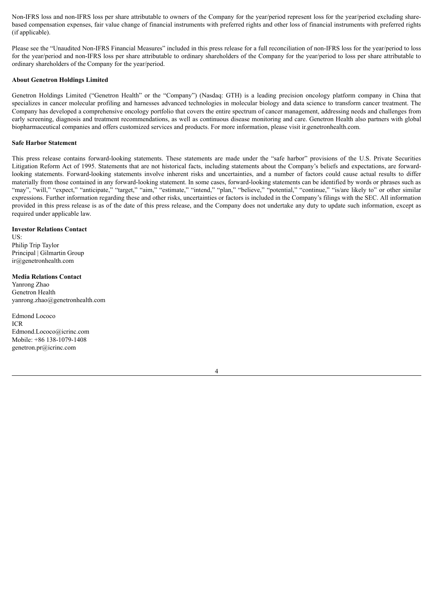Non-IFRS loss and non-IFRS loss per share attributable to owners of the Company for the year/period represent loss for the year/period excluding sharebased compensation expenses, fair value change of financial instruments with preferred rights and other loss of financial instruments with preferred rights (if applicable).

Please see the "Unaudited Non-IFRS Financial Measures" included in this press release for a full reconciliation of non-IFRS loss for the year/period to loss for the year/period and non-IFRS loss per share attributable to ordinary shareholders of the Company for the year/period to loss per share attributable to ordinary shareholders of the Company for the year/period.

#### **About Genetron Holdings Limited**

Genetron Holdings Limited ("Genetron Health" or the "Company") (Nasdaq: GTH) is a leading precision oncology platform company in China that specializes in cancer molecular profiling and harnesses advanced technologies in molecular biology and data science to transform cancer treatment. The Company has developed a comprehensive oncology portfolio that covers the entire spectrum of cancer management, addressing needs and challenges from early screening, diagnosis and treatment recommendations, as well as continuous disease monitoring and care. Genetron Health also partners with global biopharmaceutical companies and offers customized services and products. For more information, please visit ir.genetronhealth.com.

#### **Safe Harbor Statement**

This press release contains forward-looking statements. These statements are made under the "safe harbor" provisions of the U.S. Private Securities Litigation Reform Act of 1995. Statements that are not historical facts, including statements about the Company's beliefs and expectations, are forwardlooking statements. Forward-looking statements involve inherent risks and uncertainties, and a number of factors could cause actual results to differ materially from those contained in any forward-looking statement. In some cases, forward-looking statements can be identified by words or phrases such as "may", "will," "expect," "anticipate," "target," "aim," "estimate," "intend," "plan," "believe," "potential," "continue," "is/are likely to" or other similar expressions. Further information regarding these and other risks, uncertainties or factors is included in the Company's filings with the SEC. All information provided in this press release is as of the date of this press release, and the Company does not undertake any duty to update such information, except as required under applicable law.

#### **Investor Relations Contact**

US: Philip Trip Taylor Principal | Gilmartin Group ir@genetronhealth.com

#### **Media Relations Contact**

Yanrong Zhao Genetron Health yanrong.zhao@genetronhealth.com

Edmond Lococo ICR Edmond.Lococo@icrinc.com Mobile: +86 138-1079-1408 genetron.pr@icrinc.com

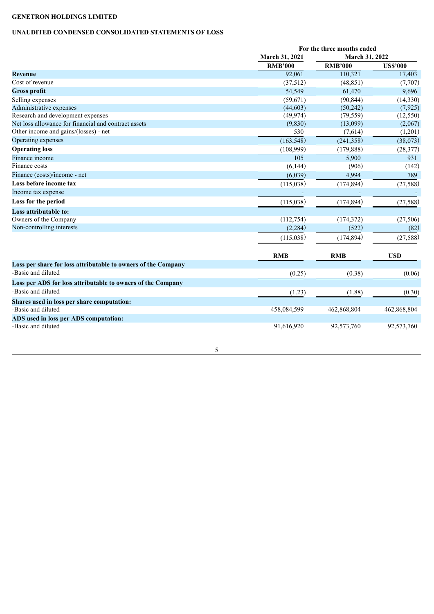### **UNAUDITED CONDENSED CONSOLIDATED STATEMENTS OF LOSS**

|                                                               |                | For the three months ended |                 |  |
|---------------------------------------------------------------|----------------|----------------------------|-----------------|--|
|                                                               | March 31, 2021 | <b>March 31, 2022</b>      |                 |  |
|                                                               | <b>RMB'000</b> | <b>RMB'000</b>             | <b>US\$'000</b> |  |
| <b>Revenue</b>                                                | 92,061         | 110,321                    | 17,403          |  |
| Cost of revenue                                               | (37,512)       | (48, 851)                  | (7,707)         |  |
| <b>Gross profit</b>                                           | 54,549         | 61,470                     | 9,696           |  |
| Selling expenses                                              | (59, 671)      | (90, 844)                  | (14, 330)       |  |
| Administrative expenses                                       | (44, 603)      | (50, 242)                  | (7, 925)        |  |
| Research and development expenses                             | (49, 974)      | (79, 559)                  | (12, 550)       |  |
| Net loss allowance for financial and contract assets          | (9,830)        | (13,099)                   | (2,067)         |  |
| Other income and gains/(losses) - net                         | 530            | (7,614)                    | (1,201)         |  |
| Operating expenses                                            | (163, 548)     | (241, 358)                 | (38,073)        |  |
| <b>Operating loss</b>                                         | (108,999)      | (179, 888)                 | (28, 377)       |  |
| Finance income                                                | 105            | 5,900                      | 931             |  |
| Finance costs                                                 | (6, 144)       | (906)                      | (142)           |  |
| Finance (costs)/income - net                                  | (6,039)        | 4,994                      | 789             |  |
| Loss before income tax                                        | (115,038)      | (174, 894)                 | (27, 588)       |  |
| Income tax expense                                            |                |                            |                 |  |
| Loss for the period                                           | (115,038)      | (174, 894)                 | (27, 588)       |  |
| Loss attributable to:                                         |                |                            |                 |  |
| Owners of the Company                                         | (112, 754)     | (174, 372)                 | (27, 506)       |  |
| Non-controlling interests                                     | (2, 284)       | (522)                      | (82)            |  |
|                                                               | (115,038)      | (174, 894)                 | (27, 588)       |  |
|                                                               | <b>RMB</b>     | <b>RMB</b>                 | <b>USD</b>      |  |
| Loss per share for loss attributable to owners of the Company |                |                            |                 |  |
| -Basic and diluted                                            | (0.25)         | (0.38)                     | (0.06)          |  |
| Loss per ADS for loss attributable to owners of the Company   |                |                            |                 |  |
| -Basic and diluted                                            | (1.23)         | (1.88)                     | (0.30)          |  |
| Shares used in loss per share computation:                    |                |                            |                 |  |
| -Basic and diluted                                            | 458,084,599    | 462,868,804                | 462,868,804     |  |
| ADS used in loss per ADS computation:                         |                |                            |                 |  |
| -Basic and diluted                                            | 91,616,920     | 92,573,760                 | 92,573,760      |  |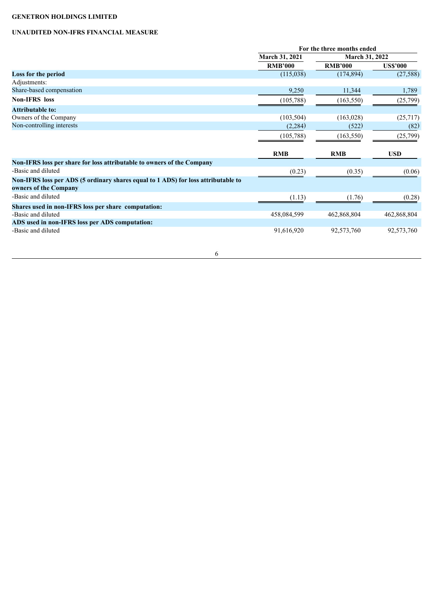### **UNAUDITED NON-IFRS FINANCIAL MEASURE**

|                                                                                   | For the three months ended |                       |                 |
|-----------------------------------------------------------------------------------|----------------------------|-----------------------|-----------------|
|                                                                                   | <b>March 31, 2021</b>      | <b>March 31, 2022</b> |                 |
|                                                                                   | <b>RMB'000</b>             | <b>RMB'000</b>        | <b>US\$'000</b> |
| Loss for the period                                                               | (115,038)                  | (174, 894)            | (27, 588)       |
| Adjustments:                                                                      |                            |                       |                 |
| Share-based compensation                                                          | 9,250                      | 11,344                | 1,789           |
| <b>Non-IFRS</b> loss                                                              | (105, 788)                 | (163, 550)            | (25,799)        |
| <b>Attributable to:</b>                                                           |                            |                       |                 |
| Owners of the Company                                                             | (103, 504)                 | (163, 028)            | (25,717)        |
| Non-controlling interests                                                         | (2, 284)                   | (522)                 | (82)            |
|                                                                                   | (105, 788)                 | (163, 550)            | (25,799)        |
|                                                                                   | <b>RMB</b>                 | <b>RMB</b>            | <b>USD</b>      |
| Non-IFRS loss per share for loss attributable to owners of the Company            |                            |                       |                 |
| -Basic and diluted                                                                | (0.23)                     | (0.35)                | (0.06)          |
| Non-IFRS loss per ADS (5 ordinary shares equal to 1 ADS) for loss attributable to |                            |                       |                 |
| owners of the Company                                                             |                            |                       |                 |
| -Basic and diluted                                                                | (1.13)                     | (1.76)                | (0.28)          |
| Shares used in non-IFRS loss per share computation:                               |                            |                       |                 |
| -Basic and diluted                                                                | 458,084,599                | 462,868,804           | 462,868,804     |
| ADS used in non-IFRS loss per ADS computation:                                    |                            |                       |                 |
| -Basic and diluted                                                                | 91,616,920                 | 92,573,760            | 92,573,760      |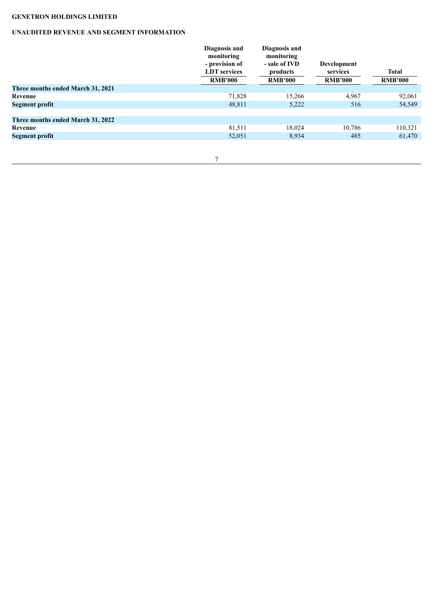### **UNAUDITED REVENUE AND SEGMENT INFORMATION**

|                                   | Diagnosis and<br>monitoring<br>- provision of<br><b>LDT</b> services<br><b>RMB'000</b> | Diagnosis and<br>monitoring<br>- sale of IVD<br>products<br><b>RMB'000</b> | <b>Development</b><br>services<br><b>RMB'000</b> | <b>Total</b><br><b>RMB'000</b> |
|-----------------------------------|----------------------------------------------------------------------------------------|----------------------------------------------------------------------------|--------------------------------------------------|--------------------------------|
| Three months ended March 31, 2021 |                                                                                        |                                                                            |                                                  |                                |
| Revenue                           | 71,828                                                                                 | 15,266                                                                     | 4,967                                            | 92,061                         |
| <b>Segment profit</b>             | 48,811                                                                                 | 5,222                                                                      | 516                                              | 54,549                         |
| Three months ended March 31, 2022 |                                                                                        |                                                                            |                                                  |                                |
| Revenue                           | 81,511                                                                                 | 18,024                                                                     | 10,786                                           | 110,321                        |
| Segment profit                    | 52,051                                                                                 | 8,934                                                                      | 485                                              | 61,470                         |
|                                   |                                                                                        |                                                                            |                                                  |                                |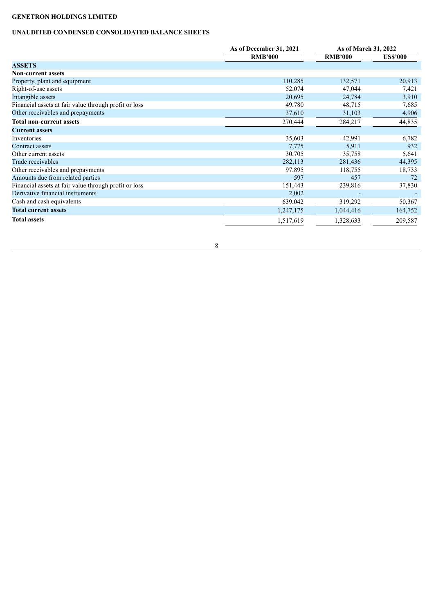### **UNAUDITED CONDENSED CONSOLIDATED BALANCE SHEETS**

|                                                       | As of December 31, 2021 | As of March 31, 2022 |                 |
|-------------------------------------------------------|-------------------------|----------------------|-----------------|
|                                                       | <b>RMB'000</b>          | <b>RMB'000</b>       | <b>US\$'000</b> |
| <b>ASSETS</b>                                         |                         |                      |                 |
| <b>Non-current assets</b>                             |                         |                      |                 |
| Property, plant and equipment                         | 110,285                 | 132,571              | 20,913          |
| Right-of-use assets                                   | 52,074                  | 47,044               | 7,421           |
| Intangible assets                                     | 20,695                  | 24,784               | 3,910           |
| Financial assets at fair value through profit or loss | 49,780                  | 48,715               | 7,685           |
| Other receivables and prepayments                     | 37,610                  | 31,103               | 4,906           |
| <b>Total non-current assets</b>                       | 270,444                 | 284,217              | 44,835          |
| <b>Current assets</b>                                 |                         |                      |                 |
| Inventories                                           | 35,603                  | 42,991               | 6,782           |
| Contract assets                                       | 7,775                   | 5,911                | 932             |
| Other current assets                                  | 30,705                  | 35,758               | 5,641           |
| Trade receivables                                     | 282,113                 | 281,436              | 44,395          |
| Other receivables and prepayments                     | 97,895                  | 118,755              | 18,733          |
| Amounts due from related parties                      | 597                     | 457                  | 72              |
| Financial assets at fair value through profit or loss | 151,443                 | 239,816              | 37,830          |
| Derivative financial instruments                      | 2,002                   |                      |                 |
| Cash and cash equivalents                             | 639,042                 | 319,292              | 50,367          |
| <b>Total current assets</b>                           | 1,247,175               | 1,044,416            | 164,752         |
| <b>Total assets</b>                                   | 1,517,619               | 1,328,633            | 209,587         |